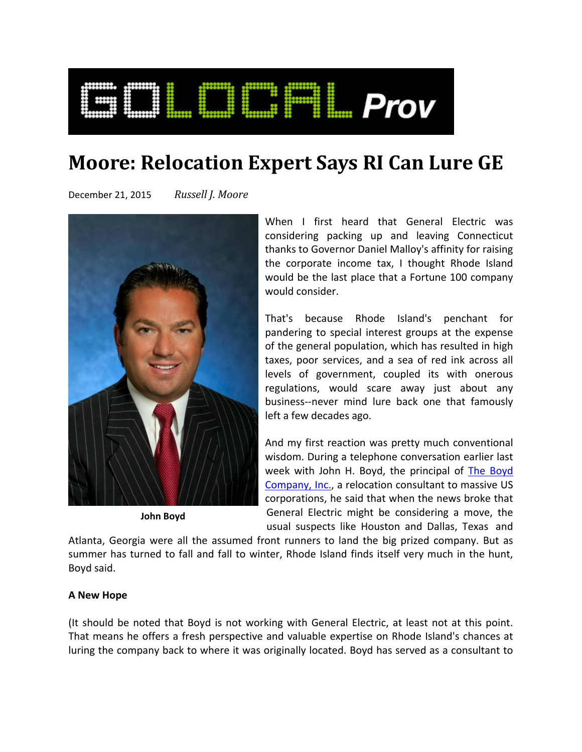

# **Moore: Relocation Expert Says RI Can Lure GE**

December 21, 2015 *Russell J. Moore*



**John Boyd**

When I first heard that General Electric was considering packing up and leaving Connecticut thanks to Governor Daniel Malloy's affinity for raising the corporate income tax, I thought Rhode Island would be the last place that a Fortune 100 company would consider.

That's because Rhode Island's penchant for pandering to special interest groups at the expense of the general population, which has resulted in high taxes, poor services, and a sea of red ink across all levels of government, coupled its with onerous regulations, would scare away just about any business‐‐never mind lure back one that famously left a few decades ago.

And my first reaction was pretty much conventional wisdom. During a telephone conversation earlier last week with John H. Boyd, the principal of The Boyd Company, Inc., a relocation consultant to massive US corporations, he said that when the news broke that General Electric might be considering a move, the usual suspects like Houston and Dallas, Texas and

Atlanta, Georgia were all the assumed front runners to land the big prized company. But as summer has turned to fall and fall to winter, Rhode Island finds itself very much in the hunt, Boyd said.

## **A New Hope**

(It should be noted that Boyd is not working with General Electric, at least not at this point. That means he offers a fresh perspective and valuable expertise on Rhode Island's chances at luring the company back to where it was originally located. Boyd has served as a consultant to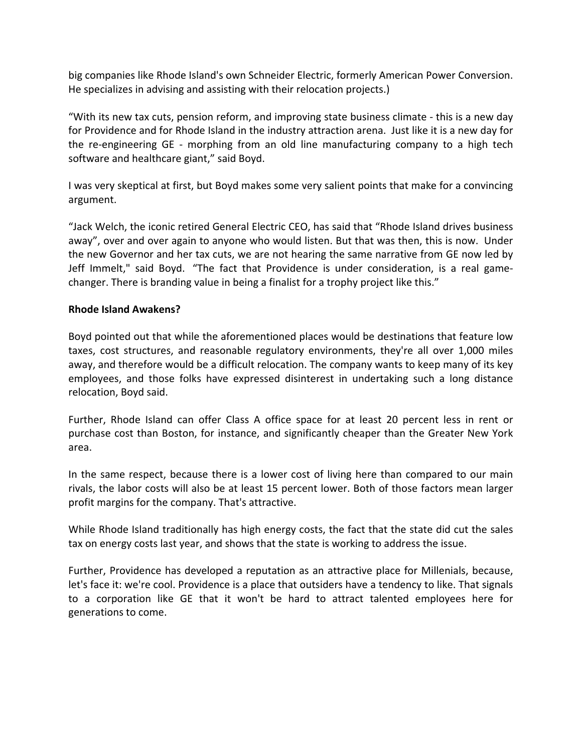big companies like Rhode Island's own Schneider Electric, formerly American Power Conversion. He specializes in advising and assisting with their relocation projects.)

"With its new tax cuts, pension reform, and improving state business climate ‐ this is a new day for Providence and for Rhode Island in the industry attraction arena. Just like it is a new day for the re-engineering GE - morphing from an old line manufacturing company to a high tech software and healthcare giant," said Boyd.

I was very skeptical at first, but Boyd makes some very salient points that make for a convincing argument.

"Jack Welch, the iconic retired General Electric CEO, has said that "Rhode Island drives business away", over and over again to anyone who would listen. But that was then, this is now. Under the new Governor and her tax cuts, we are not hearing the same narrative from GE now led by Jeff Immelt," said Boyd. "The fact that Providence is under consideration, is a real game‐ changer. There is branding value in being a finalist for a trophy project like this."

## **Rhode Island Awakens?**

Boyd pointed out that while the aforementioned places would be destinations that feature low taxes, cost structures, and reasonable regulatory environments, they're all over 1,000 miles away, and therefore would be a difficult relocation. The company wants to keep many of its key employees, and those folks have expressed disinterest in undertaking such a long distance relocation, Boyd said.

Further, Rhode Island can offer Class A office space for at least 20 percent less in rent or purchase cost than Boston, for instance, and significantly cheaper than the Greater New York area.

In the same respect, because there is a lower cost of living here than compared to our main rivals, the labor costs will also be at least 15 percent lower. Both of those factors mean larger profit margins for the company. That's attractive.

While Rhode Island traditionally has high energy costs, the fact that the state did cut the sales tax on energy costs last year, and shows that the state is working to address the issue.

Further, Providence has developed a reputation as an attractive place for Millenials, because, let's face it: we're cool. Providence is a place that outsiders have a tendency to like. That signals to a corporation like GE that it won't be hard to attract talented employees here for generations to come.